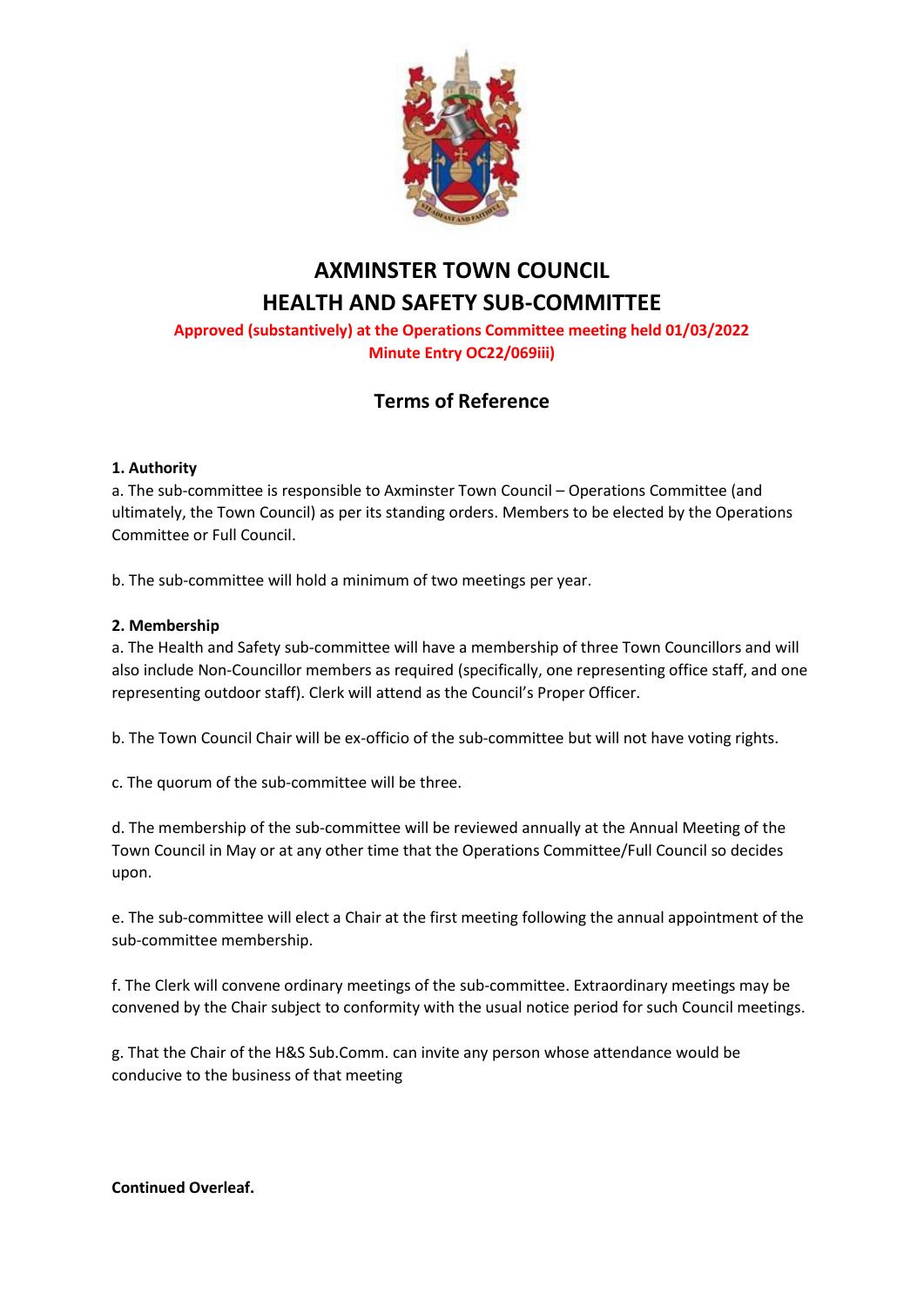

# **AXMINSTER TOWN COUNCIL HEALTH AND SAFETY SUB-COMMITTEE**

## **Approved (substantively) at the Operations Committee meeting held 01/03/2022 Minute Entry OC22/069iii)**

# **Terms of Reference**

### **1. Authority**

a. The sub-committee is responsible to Axminster Town Council – Operations Committee (and ultimately, the Town Council) as per its standing orders. Members to be elected by the Operations Committee or Full Council.

b. The sub-committee will hold a minimum of two meetings per year.

### **2. Membership**

a. The Health and Safety sub-committee will have a membership of three Town Councillors and will also include Non-Councillor members as required (specifically, one representing office staff, and one representing outdoor staff). Clerk will attend as the Council's Proper Officer.

b. The Town Council Chair will be ex-officio of the sub-committee but will not have voting rights.

c. The quorum of the sub-committee will be three.

d. The membership of the sub-committee will be reviewed annually at the Annual Meeting of the Town Council in May or at any other time that the Operations Committee/Full Council so decides upon.

e. The sub-committee will elect a Chair at the first meeting following the annual appointment of the sub-committee membership.

f. The Clerk will convene ordinary meetings of the sub-committee. Extraordinary meetings may be convened by the Chair subject to conformity with the usual notice period for such Council meetings.

g. That the Chair of the H&S Sub.Comm. can invite any person whose attendance would be conducive to the business of that meeting

**Continued Overleaf.**